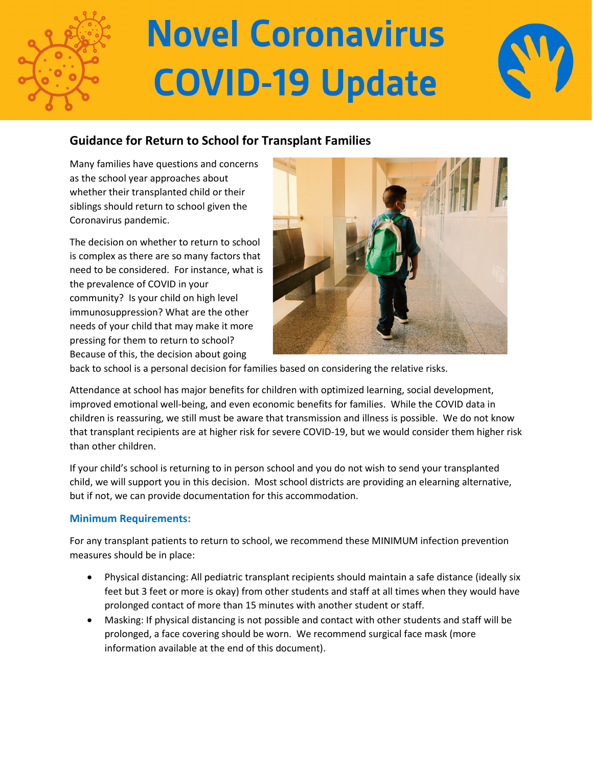

## **Novel Coronavirus COVID-19 Update**



### **Guidance for Return to School for Transplant Families**

Many families have questions and concerns as the school year approaches about whether their transplanted child or their siblings should return to school given the Coronavirus pandemic.

The decision on whether to return to school is complex as there are so many factors that need to be considered. For instance, what is the prevalence of COVID in your community? Is your child on high level immunosuppression? What are the other needs of your child that may make it more pressing for them to return to school? Because of this, the decision about going



back to school is a personal decision for families based on considering the relative risks.

Attendance at school has major benefits for children with optimized learning, social development, improved emotional well-being, and even economic benefits for families. While the COVID data in children is reassuring, we still must be aware that transmission and illness is possible. We do not know that transplant recipients are at higher risk for severe COVID-19, but we would consider them higher risk than other children.

If your child's school is returning to in person school and you do not wish to send your transplanted child, we will support you in this decision. Most school districts are providing an elearning alternative, but if not, we can provide documentation for this accommodation.

### **Minimum Requirements:**

For any transplant patients to return to school, we recommend these MINIMUM infection prevention measures should be in place:

- Physical distancing: All pediatric transplant recipients should maintain a safe distance (ideally six feet but 3 feet or more is okay) from other students and staff at all times when they would have prolonged contact of more than 15 minutes with another student or staff.
- Masking: If physical distancing is not possible and contact with other students and staff will be prolonged, a face covering should be worn. We recommend surgical face mask (more information available at the end of this document).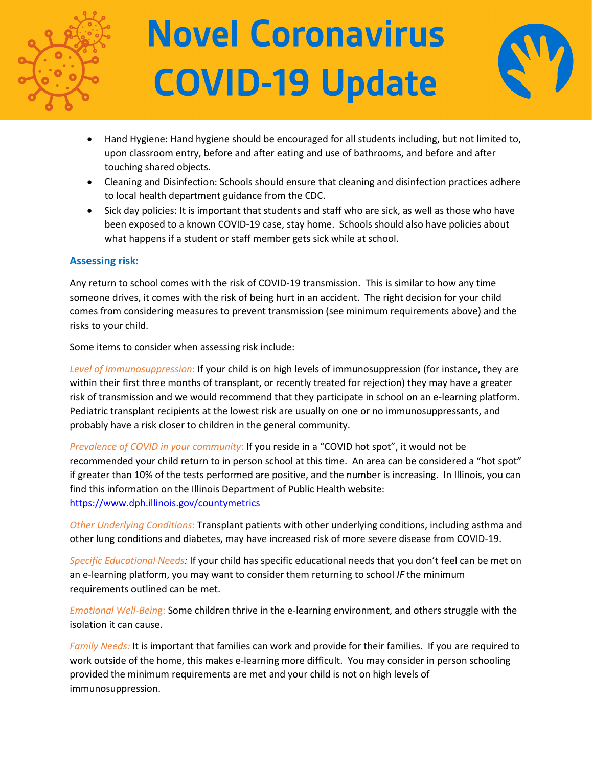

# **Novel Coronavirus COVID-19 Update**



- Hand Hygiene: Hand hygiene should be encouraged for all students including, but not limited to, upon classroom entry, before and after eating and use of bathrooms, and before and after touching shared objects.
- Cleaning and Disinfection: Schools should ensure that cleaning and disinfection practices adhere to local health department guidance from the CDC.
- Sick day policies: It is important that students and staff who are sick, as well as those who have been exposed to a known COVID-19 case, stay home. Schools should also have policies about what happens if a student or staff member gets sick while at school.

### **Assessing risk:**

Any return to school comes with the risk of COVID-19 transmission. This is similar to how any time someone drives, it comes with the risk of being hurt in an accident. The right decision for your child comes from considering measures to prevent transmission (see minimum requirements above) and the risks to your child.

Some items to consider when assessing risk include:

*Level of Immunosuppression*: If your child is on high levels of immunosuppression (for instance, they are within their first three months of transplant, or recently treated for rejection) they may have a greater risk of transmission and we would recommend that they participate in school on an e-learning platform. Pediatric transplant recipients at the lowest risk are usually on one or no immunosuppressants, and probably have a risk closer to children in the general community.

*Prevalence of COVID in your community*: If you reside in a "COVID hot spot", it would not be recommended your child return to in person school at this time. An area can be considered a "hot spot" if greater than 10% of the tests performed are positive, and the number is increasing. In Illinois, you can find this information on the Illinois Department of Public Health website: <https://www.dph.illinois.gov/countymetrics>

*Other Underlying Conditions*: Transplant patients with other underlying conditions, including asthma and other lung conditions and diabetes, may have increased risk of more severe disease from COVID-19.

*Specific Educational Needs:* If your child has specific educational needs that you don't feel can be met on an e-learning platform, you may want to consider them returning to school *IF* the minimum requirements outlined can be met.

*Emotional Well-Bein*g: Some children thrive in the e-learning environment, and others struggle with the isolation it can cause.

*Family Needs:* It is important that families can work and provide for their families. If you are required to work outside of the home, this makes e-learning more difficult. You may consider in person schooling provided the minimum requirements are met and your child is not on high levels of immunosuppression.